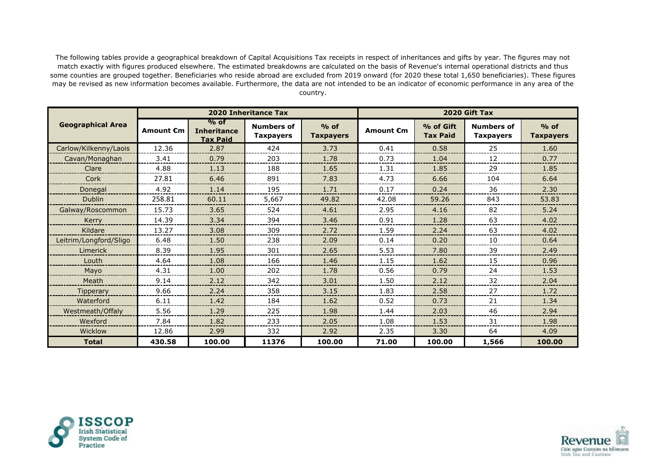The following tables provide a geographical breakdown of Capital Acquisitions Tax receipts in respect of inheritances and gifts by year. The figures may not match exactly with figures produced elsewhere. The estimated breakdowns are calculated on the basis of Revenue's internal operational districts and thus some counties are grouped together. Beneficiaries who reside abroad are excluded from 2019 onward (for 2020 these total 1,650 beneficiaries). These figures may be revised as new information becomes available. Furthermore, the data are not intended to be an indicator of economic performance in any area of the country.

|                          |           |                                                 | <b>2020 Inheritance Tax</b>           |                            | 2020 Gift Tax |                              |                                       |                            |
|--------------------------|-----------|-------------------------------------------------|---------------------------------------|----------------------------|---------------|------------------------------|---------------------------------------|----------------------------|
| <b>Geographical Area</b> | Amount €m | $%$ of<br><b>Inheritance</b><br><b>Tax Paid</b> | <b>Numbers of</b><br><b>Taxpayers</b> | $%$ of<br><b>Taxpayers</b> | Amount €m     | % of Gift<br><b>Tax Paid</b> | <b>Numbers of</b><br><b>Taxpayers</b> | $%$ of<br><b>Taxpayers</b> |
| Carlow/Kilkenny/Laois    | 12.36     | 2.87                                            | 424                                   | 3.73                       | 0.41          | 0.58                         | 25                                    | 1.60                       |
| Cavan/Monaghan           | 3.41      | 0.79                                            | 203                                   | 1.78                       | 0.73          | 1.04                         | 12                                    | 0.77                       |
| Clare                    | 4.88      | 1.13                                            | 188                                   | 1.65                       | 1.31          | 1.85                         | 29                                    | 1.85                       |
| Cork                     | 27.81     | 6.46                                            | 891                                   | 7.83                       | 4.73          | 6.66                         | 104                                   | 6.64                       |
| Donegal                  | 4.92      | 1.14                                            | 195                                   | 1.71                       | 0.17          | 0.24                         | 36                                    | 2.30                       |
| <b>Dublin</b>            | 258.81    | 60.11                                           | 5,667                                 | 49.82                      | 42.08         | 59.26                        | 843                                   | 53.83                      |
| Galway/Roscommon         | 15.73     | 3.65                                            | 524                                   | 4.61                       | 2.95          | 4.16                         | 82                                    | 5.24                       |
| Kerry                    | 14.39     | 3.34                                            | 394                                   | 3.46                       | 0.91          | 1.28                         | 63                                    | 4.02                       |
| Kildare                  | 13.27     | 3.08                                            | 309                                   | 2.72                       | 1.59          | 2.24                         | 63                                    | 4.02                       |
| Leitrim/Longford/Sligo   | 6.48      | 1.50                                            | 238                                   | 2.09                       | 0.14          | 0.20                         | 10                                    | 0.64                       |
| Limerick                 | 8.39      | 1.95                                            | 301                                   | 2.65                       | 5.53          | 7.80                         | 39                                    | 2.49                       |
| Louth                    | 4.64      | 1.08                                            | 166                                   | 1.46                       | 1.15          | 1.62                         | 15                                    | 0.96                       |
| Mayo                     | 4.31      | 1.00                                            | 202                                   | 1.78                       | 0.56          | 0.79                         | 24                                    | 1.53                       |
| Meath                    | 9.14      | 2.12                                            | 342                                   | 3.01                       | 1.50          | 2.12                         | 32                                    | 2.04                       |
| <b>Tipperary</b>         | 9.66      | 2.24                                            | 358                                   | 3.15                       | 1.83          | 2.58                         | 27                                    | 1.72                       |
| Waterford                | 6.11      | 1.42                                            | 184                                   | 1.62                       | 0.52          | 0.73                         | 21                                    | 1.34                       |
| Westmeath/Offaly         | 5.56      | 1.29                                            | 225                                   | 1.98                       | 1.44          | 2.03                         | 46                                    | 2.94                       |
| Wexford                  | 7.84      | 1.82                                            | 233                                   | 2.05                       | 1.08          | 1.53                         | 31                                    | 1.98                       |
| Wicklow                  | 12.86     | 2.99                                            | 332                                   | 2.92                       | 2.35          | 3.30                         | 64                                    | 4.09                       |
| <b>Total</b>             | 430.58    | 100.00                                          | 11376                                 | 100.00                     | 71.00         | 100.00                       | 1,566                                 | 100.00                     |





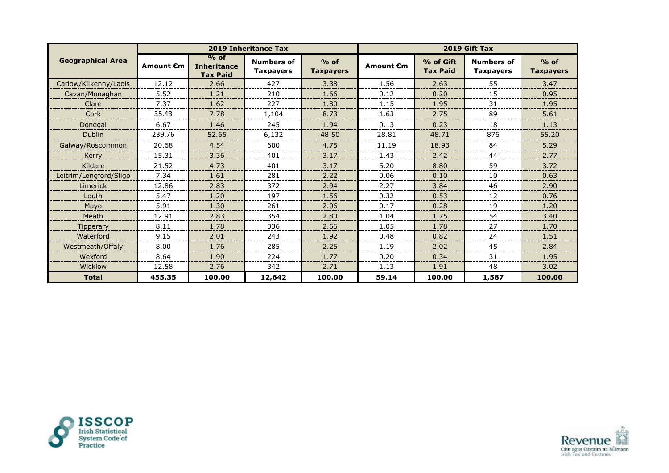|                          |                  |                                                 | 2019 Inheritance Tax                  |                            | 2019 Gift Tax    |                              |                                       |                            |
|--------------------------|------------------|-------------------------------------------------|---------------------------------------|----------------------------|------------------|------------------------------|---------------------------------------|----------------------------|
| <b>Geographical Area</b> | <b>Amount €m</b> | $%$ of<br><b>Inheritance</b><br><b>Tax Paid</b> | <b>Numbers of</b><br><b>Taxpayers</b> | $%$ of<br><b>Taxpayers</b> | <b>Amount €m</b> | % of Gift<br><b>Tax Paid</b> | <b>Numbers of</b><br><b>Taxpayers</b> | $%$ of<br><b>Taxpayers</b> |
| Carlow/Kilkenny/Laois    | 12.12            | 2.66                                            | 427                                   | 3.38                       | 1.56             | 2.63                         | 55                                    | 3.47                       |
| Cavan/Monaghan           | 5.52             | 1.21                                            | 210                                   | 1.66                       | 0.12             | 0.20                         | 15                                    | 0.95                       |
| Clare                    | 7.37             | 1.62                                            | 227                                   | 1.80                       | 1.15             | 1.95                         | 31                                    | 1.95                       |
| Cork                     | 35.43            | 7.78                                            | 1.104                                 | 8.73                       | 1.63             | 2.75                         | 89                                    | 5.61                       |
| Donegal                  | 6.67             | 1.46                                            | 245                                   | 1.94                       | 0.13             | 0.23                         | 18                                    | 1.13                       |
| <b>Dublin</b>            | 239.76           | 52.65                                           | 6,132                                 | 48.50                      | 28.81            | 48.71                        | 876                                   | 55.20                      |
| Galway/Roscommon         | 20.68            | 4.54                                            | 600                                   | 4.75                       | 11.19            | 18.93                        | 84                                    | 5.29                       |
| Kerry                    | 15.31            | 3.36                                            | 401                                   | 3.17                       | 1.43             | 2.42                         | 44                                    | 2.77                       |
| Kildare                  | 21.52            | 4.73                                            | 401                                   | 3.17                       | 5.20             | 8.80                         | 59                                    | 3.72                       |
| Leitrim/Longford/Sligo   | 7.34             | 1.61                                            | 281                                   | 2.22                       | 0.06             | 0.10                         | 10                                    | 0.63                       |
| Limerick                 | 12.86            | 2.83                                            | 372                                   | 2.94                       | 2.27             | 3.84                         | 46                                    | 2.90                       |
| Louth                    | 5.47             | 1.20                                            | 197                                   | 1.56                       | 0.32             | 0.53                         | 12                                    | 0.76                       |
| Mayo                     | 5.91             | 1.30                                            | 261                                   | 2.06                       | 0.17             | 0.28                         | 19                                    | 1.20                       |
| Meath                    | 12.91            | 2.83                                            | 354                                   | 2.80                       | 1.04             | 1.75                         | 54                                    | 3.40                       |
| <b>Tipperary</b>         | 8.11             | 1.78                                            | 336                                   | 2.66                       | 1.05             | 1.78                         | 27                                    | 1.70                       |
| Waterford                | 9.15             | 2.01                                            | 243                                   | 1.92                       | 0.48             | 0.82                         | 24                                    | 1.51                       |
| Westmeath/Offaly         | 8.00             | 1.76                                            | 285                                   | 2.25                       | 1.19             | 2.02                         | 45                                    | 2.84                       |
| Wexford                  | 8.64             | 1.90                                            | 224                                   | 1.77                       | 0.20             | 0.34                         | 31                                    | 1.95                       |
| Wicklow                  | 12.58            | 2.76                                            | 342                                   | 2.71                       | 1.13             | 1.91                         | 48                                    | 3.02                       |
| <b>Total</b>             | 455.35           | 100.00                                          | 12,642                                | 100.00                     | 59.14            | 100.00                       | 1,587                                 | 100.00                     |



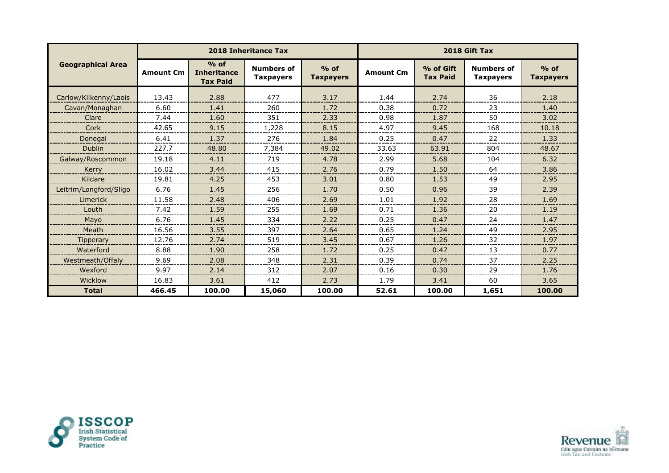|                          |                  |                                                 | <b>2018 Inheritance Tax</b>           |                            | 2018 Gift Tax |                              |                                       |                            |
|--------------------------|------------------|-------------------------------------------------|---------------------------------------|----------------------------|---------------|------------------------------|---------------------------------------|----------------------------|
| <b>Geographical Area</b> | <b>Amount €m</b> | $%$ of<br><b>Inheritance</b><br><b>Tax Paid</b> | <b>Numbers of</b><br><b>Taxpayers</b> | $%$ of<br><b>Taxpayers</b> | Amount €m     | % of Gift<br><b>Tax Paid</b> | <b>Numbers of</b><br><b>Taxpayers</b> | $%$ of<br><b>Taxpayers</b> |
| Carlow/Kilkenny/Laois    | 13.43            | 2.88                                            | 477                                   | 3.17                       | 1.44          | 2.74                         | 36                                    | 2.18                       |
| Cavan/Monaghan           | 6.60             | 1.41                                            | 260                                   | 1.72                       | 0.38          | 0.72                         | 23                                    | 1.40                       |
| Clare                    | 7.44             | 1.60                                            | 351                                   | 2.33                       | 0.98          | 1.87                         | 50                                    | 3.02                       |
| Cork                     | 42.65            | 9.15                                            | 1,228                                 | 8.15                       | 4.97          | 9.45                         | 168                                   | 10.18                      |
| Donegal                  | 6.41             | 1.37                                            | 276                                   | 1.84                       | 0.25          | 0.47                         | 22                                    | 1.33                       |
| <b>Dublin</b>            | 227.7            | 48.80                                           | 7,384                                 | 49.02                      | 33.63         | 63.91                        | 804                                   | 48.67                      |
| Galway/Roscommon         | 19.18            | 4.11                                            | 719                                   | 4.78                       | 2.99          | 5.68                         | 104                                   | 6.32                       |
| Kerry                    | 16.02            | 3.44                                            | 415                                   | 2.76                       | 0.79          | 1.50                         | 64                                    | 3.86                       |
| Kildare                  | 19.81            | 4.25                                            | 453                                   | 3.01                       | 0.80          | 1.53                         | 49                                    | 2.95                       |
| Leitrim/Longford/Sligo   | 6.76             | 1.45                                            | 256                                   | 1.70                       | 0.50          | 0.96                         | 39                                    | 2.39                       |
| Limerick                 | 11.58            | 2.48                                            | 406                                   | 2.69                       | 1.01          | 1.92                         | 28                                    | 1.69                       |
| Louth                    | 7.42             | 1.59                                            | 255                                   | 1.69                       | 0.71          | 1.36                         | 20                                    | 1.19                       |
| Mayo                     | 6.76             | 1.45                                            | 334                                   | 2.22                       | 0.25          | 0.47                         | 24                                    | 1.47                       |
| Meath                    | 16.56            | 3.55                                            | 397                                   | 2.64                       | 0.65          | 1.24                         | 49                                    | 2.95                       |
| Tipperary                | 12.76            | 2.74                                            | 519                                   | 3.45                       | 0.67          | 1.26                         | 32                                    | 1.97                       |
| Waterford                | 8.88             | 1.90                                            | 258                                   | 1.72                       | 0.25          | 0.47                         | 13                                    | 0.77                       |
| Westmeath/Offaly         | 9.69             | 2.08                                            | 348                                   | 2.31                       | 0.39          | 0.74                         | 37                                    | 2.25                       |
| Wexford                  | 9.97             | 2.14                                            | 312                                   | 2.07                       | 0.16          | 0.30                         | 29                                    | 1.76                       |
| Wicklow                  | 16.83            | 3.61                                            | 412                                   | 2.73                       | 1.79          | 3.41                         | 60                                    | 3.65                       |
| <b>Total</b>             | 466.45           | 100.00                                          | 15,060                                | 100.00                     | 52.61         | 100.00                       | 1,651                                 | 100.00                     |



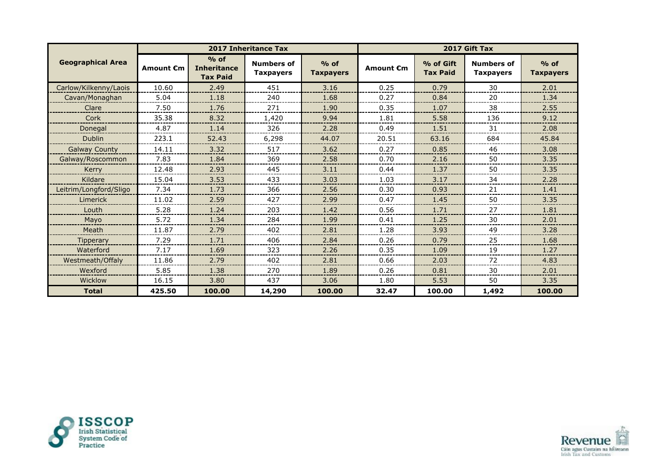|                          |                  |                                                 | <b>2017 Inheritance Tax</b>           |                            |                  | 2017 Gift Tax                |                                       |                            |  |
|--------------------------|------------------|-------------------------------------------------|---------------------------------------|----------------------------|------------------|------------------------------|---------------------------------------|----------------------------|--|
| <b>Geographical Area</b> | <b>Amount €m</b> | $%$ of<br><b>Inheritance</b><br><b>Tax Paid</b> | <b>Numbers of</b><br><b>Taxpayers</b> | $%$ of<br><b>Taxpayers</b> | <b>Amount €m</b> | % of Gift<br><b>Tax Paid</b> | <b>Numbers of</b><br><b>Taxpayers</b> | $%$ of<br><b>Taxpayers</b> |  |
| Carlow/Kilkenny/Laois    | 10.60            | 2.49                                            | 451                                   | 3.16                       | 0.25             | 0.79                         | 30                                    | 2.01                       |  |
| Cavan/Monaghan           | 5.04             | 1.18                                            | 240                                   | 1.68                       | 0.27             | 0.84                         | 20                                    | 1.34                       |  |
| Clare                    | 7.50             | 1.76                                            | 271                                   | 1.90                       | 0.35             | 1.07                         | 38                                    | 2.55                       |  |
| Cork                     | 35.38            | 8.32                                            | 1,420                                 | 9.94                       | 1.81             | 5.58                         | 136                                   | 9.12                       |  |
| Donegal                  | 4.87             | 1.14                                            | 326                                   | 2.28                       | 0.49             | 1.51                         | 31                                    | 2.08                       |  |
| <b>Dublin</b>            | 223.1            | 52.43                                           | 6,298                                 | 44.07                      | 20.51            | 63.16                        | 684                                   | 45.84                      |  |
| <b>Galway County</b>     | 14.11            | 3.32                                            | 517                                   | 3.62                       | 0.27             | 0.85                         | 46                                    | 3.08                       |  |
| Galway/Roscommon         | 7.83             | 1.84                                            | 369                                   | 2.58                       | 0.70             | 2.16                         | 50                                    | 3.35                       |  |
| Kerry                    | 12.48            | 2.93                                            | 445                                   | 3.11                       | 0.44             | 1.37                         | 50                                    | 3.35                       |  |
| Kildare                  | 15.04            | 3.53                                            | 433                                   | 3.03                       | 1.03             | 3.17                         | 34                                    | 2.28                       |  |
| Leitrim/Longford/Sligo   | 7.34             | 1.73                                            | 366                                   | 2.56                       | 0.30             | 0.93                         | 21                                    | 1.41                       |  |
| Limerick                 | 11.02            | 2.59                                            | 427                                   | 2.99                       | 0.47             | 1.45                         | 50                                    | 3.35                       |  |
| Louth                    | 5.28             | 1.24                                            | 203                                   | 1.42                       | 0.56             | 1.71                         | 27                                    | 1.81                       |  |
| Mayo                     | 5.72             | 1.34                                            | 284                                   | 1.99                       | 0.41             | 1.25                         | 30                                    | 2.01                       |  |
| Meath                    | 11.87            | 2.79                                            | 402                                   | 2.81                       | 1.28             | 3.93                         | 49                                    | 3.28                       |  |
| <b>Tipperary</b>         | 7.29             | 1.71                                            | 406                                   | 2.84                       | 0.26             | 0.79                         | 25                                    | 1.68                       |  |
| Waterford                | 7.17             | 1.69                                            | 323                                   | 2.26                       | 0.35             | 1.09                         | 19                                    | 1.27                       |  |
| Westmeath/Offaly         | 11.86            | 2.79                                            | 402                                   | 2.81                       | 0.66             | 2.03                         | 72                                    | 4.83                       |  |
| Wexford                  | 5.85             | 1.38                                            | 270                                   | 1.89                       | 0.26             | 0.81                         | 30                                    | 2.01                       |  |
| Wicklow                  | 16.15            | 3.80                                            | 437                                   | 3.06                       | 1.80             | 5.53                         | 50                                    | 3.35                       |  |
| <b>Total</b>             | 425.50           | 100.00                                          | 14,290                                | 100.00                     | 32.47            | 100.00                       | 1,492                                 | 100.00                     |  |



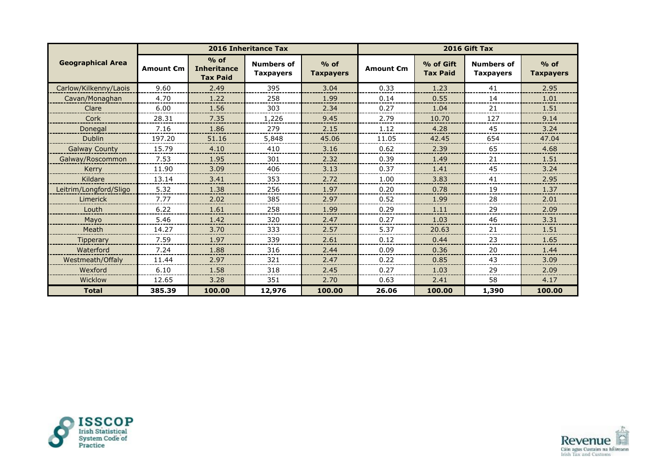|                          |                  |                                                 | 2016 Inheritance Tax                  |                            | 2016 Gift Tax    |                              |                                       |                            |
|--------------------------|------------------|-------------------------------------------------|---------------------------------------|----------------------------|------------------|------------------------------|---------------------------------------|----------------------------|
| <b>Geographical Area</b> | <b>Amount €m</b> | $%$ of<br><b>Inheritance</b><br><b>Tax Paid</b> | <b>Numbers of</b><br><b>Taxpayers</b> | $%$ of<br><b>Taxpayers</b> | <b>Amount €m</b> | % of Gift<br><b>Tax Paid</b> | <b>Numbers of</b><br><b>Taxpayers</b> | $%$ of<br><b>Taxpayers</b> |
| Carlow/Kilkenny/Laois    | 9.60             | 2.49                                            | 395                                   | 3.04                       | 0.33             | 1.23                         | 41                                    | 2.95                       |
| Cavan/Monaghan           | 4.70             | 1.22                                            | 258                                   | 1.99                       | 0.14             | 0.55                         | 14                                    | 1.01                       |
| Clare                    | 6.00             | 1.56                                            | 303                                   | 2.34                       | 0.27             | 1.04                         | 21                                    | 1.51                       |
| Cork                     | 28.31            | 7.35                                            | 1,226                                 | 9.45                       | 2.79             | 10.70                        | 127                                   | 9.14                       |
| Donegal                  | 7.16             | 1.86                                            | 279                                   | 2.15                       | 1.12             | 4.28                         | 45                                    | 3.24                       |
| <b>Dublin</b>            | 197.20           | 51.16                                           | 5,848                                 | 45.06                      | 11.05            | 42.45                        | 654                                   | 47.04                      |
| <b>Galway County</b>     | 15.79            | 4.10                                            | 410                                   | 3.16                       | 0.62             | 2.39                         | 65                                    | 4.68                       |
| Galway/Roscommon         | 7.53             | 1.95                                            | 301                                   | 2.32                       | 0.39             | 1.49                         | 21                                    | 1.51                       |
| Kerry                    | 11.90            | 3.09                                            | 406                                   | 3.13                       | 0.37             | 1.41                         | 45                                    | 3.24                       |
| Kildare                  | 13.14            | 3.41                                            | 353                                   | 2.72                       | 1.00             | 3.83                         | 41                                    | 2.95                       |
| Leitrim/Longford/Sligo   | 5.32             | 1.38                                            | 256                                   | 1.97                       | 0.20             | 0.78                         | 19                                    | 1.37                       |
| Limerick                 | 7.77             | 2.02                                            | 385                                   | 2.97                       | 0.52             | 1.99                         | 28                                    | 2.01                       |
| Louth                    | 6.22             | 1.61                                            | 258                                   | 1.99                       | 0.29             | 1.11                         | 29                                    | 2.09                       |
| Mayo                     | 5.46             | 1.42                                            | 320                                   | 2.47                       | 0.27             | 1.03                         | 46                                    | 3.31                       |
| Meath                    | 14.27            | 3.70                                            | 333                                   | 2.57                       | 5.37             | 20.63                        | 21                                    | 1.51                       |
| <b>Tipperary</b>         | 7.59             | 1.97                                            | 339                                   | 2.61                       | 0.12             | 0.44                         | 23                                    | 1.65                       |
| Waterford                | 7.24             | 1.88                                            | 316                                   | 2.44                       | 0.09             | 0.36                         | 20                                    | 1.44                       |
| Westmeath/Offaly         | 11.44            | 2.97                                            | 321                                   | 2.47                       | 0.22             | 0.85                         | 43                                    | 3.09                       |
| Wexford                  | 6.10             | 1.58                                            | 318                                   | 2.45                       | 0.27             | 1.03                         | 29                                    | 2.09                       |
| Wicklow                  | 12.65            | 3.28                                            | 351                                   | 2.70                       | 0.63             | 2.41                         | 58                                    | 4.17                       |
| <b>Total</b>             | 385.39           | 100.00                                          | 12,976                                | 100.00                     | 26.06            | 100.00                       | 1,390                                 | 100.00                     |



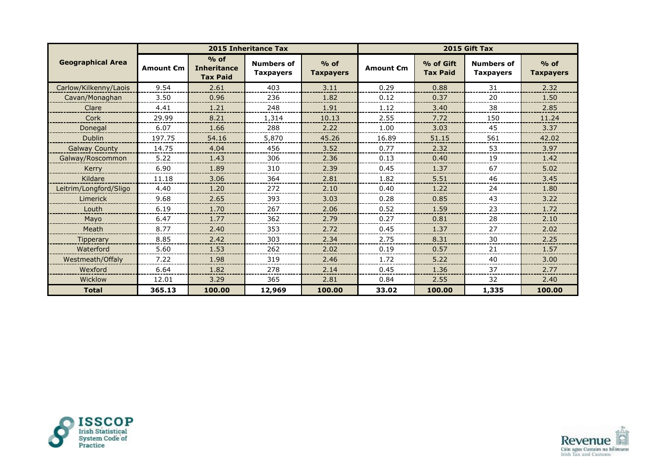|                          |           |                                                 | 2015 Inheritance Tax                  |                            |                  | 2015 Gift Tax                |                                       |                            |  |
|--------------------------|-----------|-------------------------------------------------|---------------------------------------|----------------------------|------------------|------------------------------|---------------------------------------|----------------------------|--|
| <b>Geographical Area</b> | Amount €m | $%$ of<br><b>Inheritance</b><br><b>Tax Paid</b> | <b>Numbers of</b><br><b>Taxpayers</b> | $%$ of<br><b>Taxpayers</b> | <b>Amount €m</b> | % of Gift<br><b>Tax Paid</b> | <b>Numbers of</b><br><b>Taxpayers</b> | $%$ of<br><b>Taxpayers</b> |  |
| Carlow/Kilkenny/Laois    | 9.54      | 2.61                                            | 403                                   | 3.11                       | 0.29             | 0.88                         | 31                                    | 2.32                       |  |
| Cavan/Monaghan           | 3.50      | 0.96                                            | 236                                   | 1.82                       | 0.12             | 0.37                         | 20                                    | 1.50                       |  |
| Clare                    | 4.41      | 1.21                                            | 248                                   | 1.91                       | 1.12             | 3.40                         | 38                                    | 2.85                       |  |
| Cork                     | 29.99     | 8.21                                            | 1,314                                 | 10.13                      | 2.55             | 7.72                         | 150                                   | 11.24                      |  |
| Donegal                  | 6.07      | 1.66                                            | 288                                   | 2.22                       | 1.00             | 3.03                         | 45                                    | 3.37                       |  |
| <b>Dublin</b>            | 197.75    | 54.16                                           | 5,870                                 | 45.26                      | 16.89            | 51.15                        | 561                                   | 42.02                      |  |
| <b>Galway County</b>     | 14.75     | 4.04                                            | 456                                   | 3.52                       | 0.77             | 2.32                         | 53                                    | 3.97                       |  |
| Galway/Roscommon         | 5.22      | 1.43                                            | 306                                   | 2.36                       | 0.13             | 0.40                         | 19                                    | 1.42                       |  |
| Kerry                    | 6.90      | 1.89                                            | 310                                   | 2.39                       | 0.45             | 1.37                         | 67                                    | 5.02                       |  |
| Kildare                  | 11.18     | 3.06                                            | 364                                   | 2.81                       | 1.82             | 5.51                         | 46                                    | 3.45                       |  |
| Leitrim/Longford/Sligo   | 4.40      | 1.20                                            | 272                                   | 2.10                       | 0.40             | 1.22                         | 24                                    | 1.80                       |  |
| Limerick                 | 9.68      | 2.65                                            | 393                                   | 3.03                       | 0.28             | 0.85                         | 43                                    | 3.22                       |  |
| Louth                    | 6.19      | 1.70                                            | 267                                   | 2.06                       | 0.52             | 1.59                         | 23                                    | 1.72                       |  |
| Mayo                     | 6.47      | 1.77                                            | 362                                   | 2.79                       | 0.27             | 0.81                         | 28                                    | 2.10                       |  |
| Meath                    | 8.77      | 2.40                                            | 353                                   | 2.72                       | 0.45             | 1.37                         | 27                                    | 2.02                       |  |
| <b>Tipperary</b>         | 8.85      | 2.42                                            | 303                                   | 2.34                       | 2.75             | 8.31                         | 30                                    | 2.25                       |  |
| Waterford                | 5.60      | 1.53                                            | 262                                   | 2.02                       | 0.19             | 0.57                         | 21                                    | 1.57                       |  |
| Westmeath/Offaly         | 7.22      | 1.98                                            | 319                                   | 2.46                       | 1.72             | 5.22                         | 40                                    | 3.00                       |  |
| Wexford                  | 6.64      | 1.82                                            | 278                                   | 2.14                       | 0.45             | 1.36                         | 37                                    | 2.77                       |  |
| Wicklow                  | 12.01     | 3.29                                            | 365                                   | 2.81                       | 0.84             | 2.55                         | 32                                    | 2.40                       |  |
| <b>Total</b>             | 365.13    | 100.00                                          | 12,969                                | 100.00                     | 33.02            | 100.00                       | 1,335                                 | 100.00                     |  |



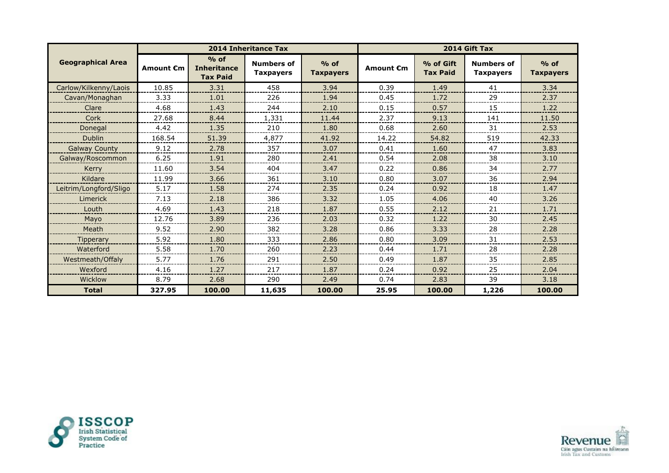|                          |           |                                                 | 2014 Inheritance Tax                  |                            |                  | 2014 Gift Tax                |                                       |                            |  |
|--------------------------|-----------|-------------------------------------------------|---------------------------------------|----------------------------|------------------|------------------------------|---------------------------------------|----------------------------|--|
| <b>Geographical Area</b> | Amount €m | $%$ of<br><b>Inheritance</b><br><b>Tax Paid</b> | <b>Numbers of</b><br><b>Taxpayers</b> | $%$ of<br><b>Taxpayers</b> | <b>Amount €m</b> | % of Gift<br><b>Tax Paid</b> | <b>Numbers of</b><br><b>Taxpayers</b> | $%$ of<br><b>Taxpayers</b> |  |
| Carlow/Kilkenny/Laois    | 10.85     | 3.31                                            | 458                                   | 3.94                       | 0.39             | 1.49                         | 41                                    | 3.34                       |  |
| Cavan/Monaghan           | 3.33      | 1.01                                            | 226                                   | 1.94                       | 0.45             | 1.72                         | 29                                    | 2.37                       |  |
| Clare                    | 4.68      | 1.43                                            | 244                                   | 2.10                       | 0.15             | 0.57                         | 15                                    | 1.22                       |  |
| Cork                     | 27.68     | 8.44                                            | 1,331                                 | 11.44                      | 2.37             | 9.13                         | 141                                   | 11.50                      |  |
| Donegal                  | 4.42      | 1.35                                            | 210                                   | 1.80                       | 0.68             | 2.60                         | 31                                    | 2.53                       |  |
| <b>Dublin</b>            | 168.54    | 51.39                                           | 4,877                                 | 41.92                      | 14.22            | 54.82                        | 519                                   | 42.33                      |  |
| <b>Galway County</b>     | 9.12      | 2.78                                            | 357                                   | 3.07                       | 0.41             | 1.60                         | 47                                    | 3.83                       |  |
| Galway/Roscommon         | 6.25      | 1.91                                            | 280                                   | 2.41                       | 0.54             | 2.08                         | 38                                    | 3.10                       |  |
| Kerry                    | 11.60     | 3.54                                            | 404                                   | 3.47                       | 0.22             | 0.86                         | 34                                    | 2.77                       |  |
| Kildare                  | 11.99     | 3.66                                            | 361                                   | 3.10                       | 0.80             | 3.07                         | 36                                    | 2.94                       |  |
| Leitrim/Longford/Sligo   | 5.17      | 1.58                                            | 274                                   | 2.35                       | 0.24             | 0.92                         | 18                                    | 1.47                       |  |
| Limerick                 | 7.13      | 2.18                                            | 386                                   | 3.32                       | 1.05             | 4.06                         | 40                                    | 3.26                       |  |
| Louth                    | 4.69      | 1.43                                            | 218                                   | 1.87                       | 0.55             | 2.12                         | 21                                    | 1.71                       |  |
| Mayo                     | 12.76     | 3.89                                            | 236                                   | 2.03                       | 0.32             | 1.22                         | 30                                    | 2.45                       |  |
| Meath                    | 9.52      | 2.90                                            | 382                                   | 3.28                       | 0.86             | 3.33                         | 28                                    | 2.28                       |  |
| <b>Tipperary</b>         | 5.92      | 1.80                                            | 333                                   | 2.86                       | 0.80             | 3.09                         | 31                                    | 2.53                       |  |
| Waterford                | 5.58      | 1.70                                            | 260                                   | 2.23                       | 0.44             | 1.71                         | 28                                    | 2.28                       |  |
| Westmeath/Offaly         | 5.77      | 1.76                                            | 291                                   | 2.50                       | 0.49             | 1.87                         | 35                                    | 2.85                       |  |
| Wexford                  | 4.16      | 1.27                                            | 217                                   | 1.87                       | 0.24             | 0.92                         | 25                                    | 2.04                       |  |
| Wicklow                  | 8.79      | 2.68                                            | 290                                   | 2.49                       | 0.74             | 2.83                         | 39                                    | 3.18                       |  |
| <b>Total</b>             | 327.95    | 100.00                                          | 11,635                                | 100.00                     | 25.95            | 100.00                       | 1,226                                 | 100.00                     |  |



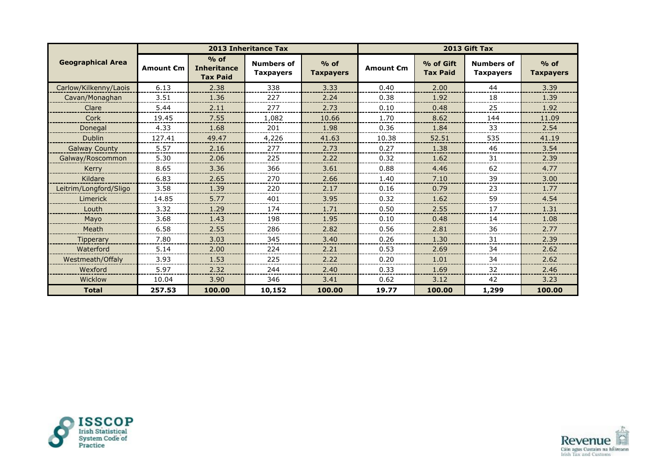|                          |                  |                                                 | <b>2013 Inheritance Tax</b>           |                            |                  |                              | 2013 Gift Tax                         |                            |
|--------------------------|------------------|-------------------------------------------------|---------------------------------------|----------------------------|------------------|------------------------------|---------------------------------------|----------------------------|
| <b>Geographical Area</b> | <b>Amount €m</b> | $%$ of<br><b>Inheritance</b><br><b>Tax Paid</b> | <b>Numbers of</b><br><b>Taxpayers</b> | $%$ of<br><b>Taxpayers</b> | <b>Amount €m</b> | % of Gift<br><b>Tax Paid</b> | <b>Numbers of</b><br><b>Taxpayers</b> | $%$ of<br><b>Taxpayers</b> |
| Carlow/Kilkenny/Laois    | 6.13             | 2.38                                            | 338                                   | 3.33                       | 0.40             | 2.00                         | 44                                    | 3.39                       |
| Cavan/Monaghan           | 3.51             | 1.36                                            | 227                                   | 2.24                       | 0.38             | 1.92                         | 18                                    | 1.39                       |
| Clare                    | 5.44             | 2.11                                            | 277                                   | 2.73                       | 0.10             | 0.48                         | 25                                    | 1.92                       |
| Cork                     | 19.45            | 7.55                                            | 1,082                                 | 10.66                      | 1.70             | 8.62                         | 144                                   | 11.09                      |
| Donegal                  | 4.33             | 1.68                                            | 201                                   | 1.98                       | 0.36             | 1.84                         | 33                                    | 2.54                       |
| <b>Dublin</b>            | 127.41           | 49.47                                           | 4,226                                 | 41.63                      | 10.38            | 52.51                        | 535                                   | 41.19                      |
| <b>Galway County</b>     | 5.57             | 2.16                                            | 277                                   | 2.73                       | 0.27             | 1.38                         | 46                                    | 3.54                       |
| Galway/Roscommon         | 5.30             | 2.06                                            | 225                                   | 2.22                       | 0.32             | 1.62                         | 31                                    | 2.39                       |
| Kerry                    | 8.65             | 3.36                                            | 366                                   | 3.61                       | 0.88             | 4.46                         | 62                                    | 4.77                       |
| Kildare                  | 6.83             | 2.65                                            | 270                                   | 2.66                       | 1.40             | 7.10                         | 39                                    | 3.00                       |
| Leitrim/Longford/Sligo   | 3.58             | 1.39                                            | 220                                   | 2.17                       | 0.16             | 0.79                         | 23                                    | 1.77                       |
| Limerick                 | 14.85            | 5.77                                            | 401                                   | 3.95                       | 0.32             | 1.62                         | 59                                    | 4.54                       |
| Louth                    | 3.32             | 1.29                                            | 174                                   | 1.71                       | 0.50             | 2.55                         | 17                                    | 1.31                       |
| Mayo                     | 3.68             | 1.43                                            | 198                                   | 1.95                       | 0.10             | 0.48                         | 14                                    | 1.08                       |
| Meath                    | 6.58             | 2.55                                            | 286                                   | 2.82                       | 0.56             | 2.81                         | 36                                    | 2.77                       |
| <b>Tipperary</b>         | 7.80             | 3.03                                            | 345                                   | 3.40                       | 0.26             | 1.30                         | 31                                    | 2.39                       |
| Waterford                | 5.14             | 2.00                                            | 224                                   | 2.21                       | 0.53             | 2.69                         | 34                                    | 2.62                       |
| Westmeath/Offaly         | 3.93             | 1.53                                            | 225                                   | 2.22                       | 0.20             | 1.01                         | 34                                    | 2.62                       |
| Wexford                  | 5.97             | 2.32                                            | 244                                   | 2.40                       | 0.33             | 1.69                         | 32                                    | 2.46                       |
| Wicklow                  | 10.04            | 3.90                                            | 346                                   | 3.41                       | 0.62             | 3.12                         | 42                                    | 3.23                       |
| <b>Total</b>             | 257.53           | 100.00                                          | 10,152                                | 100.00                     | 19.77            | 100.00                       | 1,299                                 | 100.00                     |



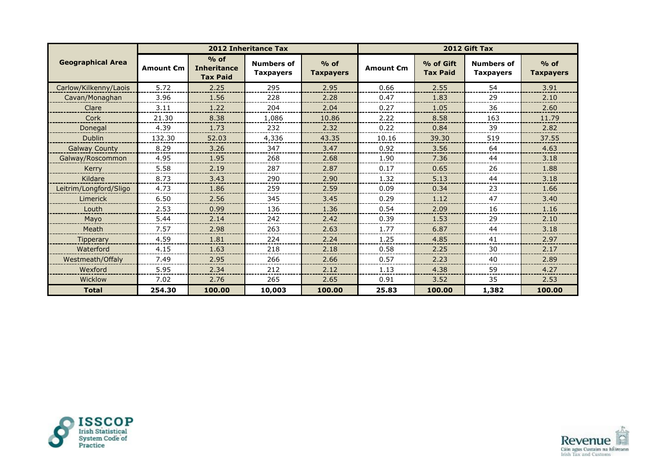|                          |                  |                                                 | <b>2012 Inheritance Tax</b>           |                            |                  |                              | 2012 Gift Tax                         |                            |
|--------------------------|------------------|-------------------------------------------------|---------------------------------------|----------------------------|------------------|------------------------------|---------------------------------------|----------------------------|
| <b>Geographical Area</b> | <b>Amount €m</b> | $%$ of<br><b>Inheritance</b><br><b>Tax Paid</b> | <b>Numbers of</b><br><b>Taxpayers</b> | $%$ of<br><b>Taxpayers</b> | <b>Amount €m</b> | % of Gift<br><b>Tax Paid</b> | <b>Numbers of</b><br><b>Taxpayers</b> | $%$ of<br><b>Taxpayers</b> |
| Carlow/Kilkenny/Laois    | 5.72             | 2.25                                            | 295                                   | 2.95                       | 0.66             | 2.55                         | 54                                    | 3.91                       |
| Cavan/Monaghan           | 3.96             | 1.56                                            | 228                                   | 2.28                       | 0.47             | 1.83                         | 29                                    | 2.10                       |
| Clare                    | 3.11             | 1.22                                            | 204                                   | 2.04                       | 0.27             | 1.05                         | 36                                    | 2.60                       |
| Cork                     | 21.30            | 8.38                                            | 1,086                                 | 10.86                      | 2.22             | 8.58                         | 163                                   | 11.79                      |
| Donegal                  | 4.39             | 1.73                                            | 232                                   | 2.32                       | 0.22             | 0.84                         | 39                                    | 2.82                       |
| <b>Dublin</b>            | 132.30           | 52.03                                           | 4,336                                 | 43.35                      | 10.16            | 39.30                        | 519                                   | 37.55                      |
| <b>Galway County</b>     | 8.29             | 3.26                                            | 347                                   | 3.47                       | 0.92             | 3.56                         | 64                                    | 4.63                       |
| Galway/Roscommon         | 4.95             | 1.95                                            | 268                                   | 2.68                       | 1.90             | 7.36                         | 44                                    | 3.18                       |
| Kerry                    | 5.58             | 2.19                                            | 287                                   | 2.87                       | 0.17             | 0.65                         | 26                                    | 1.88                       |
| Kildare                  | 8.73             | 3.43                                            | 290                                   | 2.90                       | 1.32             | 5.13                         | 44                                    | 3.18                       |
| Leitrim/Longford/Sligo   | 4.73             | 1.86                                            | 259                                   | 2.59                       | 0.09             | 0.34                         | 23                                    | 1.66                       |
| Limerick                 | 6.50             | 2.56                                            | 345                                   | 3.45                       | 0.29             | 1.12                         | 47                                    | 3.40                       |
| Louth                    | 2.53             | 0.99                                            | 136                                   | 1.36                       | 0.54             | 2.09                         | 16                                    | 1.16                       |
| Mayo                     | 5.44             | 2.14                                            | 242                                   | 2.42                       | 0.39             | 1.53                         | 29                                    | 2.10                       |
| Meath                    | 7.57             | 2.98                                            | 263                                   | 2.63                       | 1.77             | 6.87                         | 44                                    | 3.18                       |
| <b>Tipperary</b>         | 4.59             | 1.81                                            | 224                                   | 2.24                       | 1.25             | 4.85                         | 41                                    | 2.97                       |
| Waterford                | 4.15             | 1.63                                            | 218                                   | 2.18                       | 0.58             | 2.25                         | 30                                    | 2.17                       |
| Westmeath/Offaly         | 7.49             | 2.95                                            | 266                                   | 2.66                       | 0.57             | 2.23                         | 40                                    | 2.89                       |
| Wexford                  | 5.95             | 2.34                                            | 212                                   | 2.12                       | 1.13             | 4.38                         | 59                                    | 4.27                       |
| Wicklow                  | 7.02             | 2.76                                            | 265                                   | 2.65                       | 0.91             | 3.52                         | 35                                    | 2.53                       |
| <b>Total</b>             | 254.30           | 100.00                                          | 10,003                                | 100.00                     | 25.83            | 100.00                       | 1,382                                 | 100.00                     |